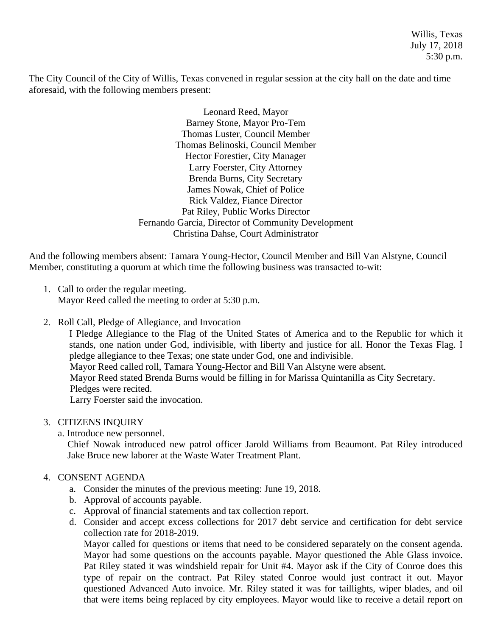Willis, Texas July 17, 2018 5:30 p.m.

The City Council of the City of Willis, Texas convened in regular session at the city hall on the date and time aforesaid, with the following members present:

> Leonard Reed, Mayor Barney Stone, Mayor Pro-Tem Thomas Luster, Council Member Thomas Belinoski, Council Member Hector Forestier, City Manager Larry Foerster, City Attorney Brenda Burns, City Secretary James Nowak, Chief of Police Rick Valdez, Fiance Director Pat Riley, Public Works Director Fernando Garcia, Director of Community Development Christina Dahse, Court Administrator

And the following members absent: Tamara Young-Hector, Council Member and Bill Van Alstyne, Council Member, constituting a quorum at which time the following business was transacted to-wit:

- 1. Call to order the regular meeting. Mayor Reed called the meeting to order at 5:30 p.m.
- 2. Roll Call, Pledge of Allegiance, and Invocation

I Pledge Allegiance to the Flag of the United States of America and to the Republic for which it stands, one nation under God, indivisible, with liberty and justice for all. Honor the Texas Flag. I pledge allegiance to thee Texas; one state under God, one and indivisible. Mayor Reed called roll, Tamara Young-Hector and Bill Van Alstyne were absent. Mayor Reed stated Brenda Burns would be filling in for Marissa Quintanilla as City Secretary. Pledges were recited. Larry Foerster said the invocation.

- 3. CITIZENS INQUIRY
	- a. Introduce new personnel.

Chief Nowak introduced new patrol officer Jarold Williams from Beaumont. Pat Riley introduced Jake Bruce new laborer at the Waste Water Treatment Plant.

## 4. CONSENT AGENDA

- a. Consider the minutes of the previous meeting: June 19, 2018.
- b. Approval of accounts payable.
- c. Approval of financial statements and tax collection report.
- d. Consider and accept excess collections for 2017 debt service and certification for debt service collection rate for 2018-2019.

Mayor called for questions or items that need to be considered separately on the consent agenda. Mayor had some questions on the accounts payable. Mayor questioned the Able Glass invoice. Pat Riley stated it was windshield repair for Unit #4. Mayor ask if the City of Conroe does this type of repair on the contract. Pat Riley stated Conroe would just contract it out. Mayor questioned Advanced Auto invoice. Mr. Riley stated it was for taillights, wiper blades, and oil that were items being replaced by city employees. Mayor would like to receive a detail report on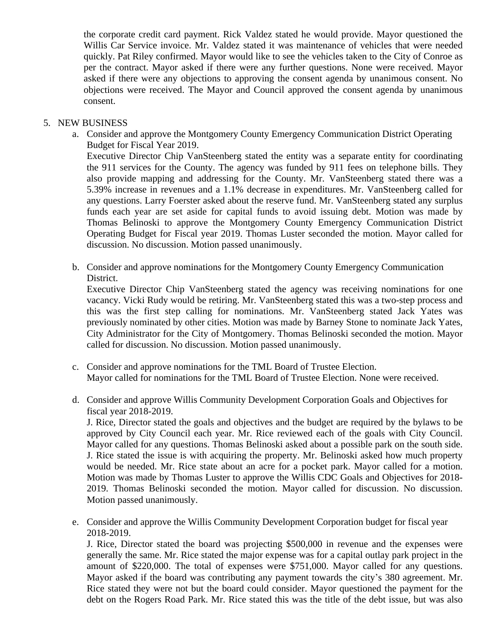the corporate credit card payment. Rick Valdez stated he would provide. Mayor questioned the Willis Car Service invoice. Mr. Valdez stated it was maintenance of vehicles that were needed quickly. Pat Riley confirmed. Mayor would like to see the vehicles taken to the City of Conroe as per the contract. Mayor asked if there were any further questions. None were received. Mayor asked if there were any objections to approving the consent agenda by unanimous consent. No objections were received. The Mayor and Council approved the consent agenda by unanimous consent.

### 5. NEW BUSINESS

- a. Consider and approve the Montgomery County Emergency Communication District Operating Budget for Fiscal Year 2019. Executive Director Chip VanSteenberg stated the entity was a separate entity for coordinating the 911 services for the County. The agency was funded by 911 fees on telephone bills. They also provide mapping and addressing for the County. Mr. VanSteenberg stated there was a 5.39% increase in revenues and a 1.1% decrease in expenditures. Mr. VanSteenberg called for any questions. Larry Foerster asked about the reserve fund. Mr. VanSteenberg stated any surplus funds each year are set aside for capital funds to avoid issuing debt. Motion was made by Thomas Belinoski to approve the Montgomery County Emergency Communication District Operating Budget for Fiscal year 2019. Thomas Luster seconded the motion. Mayor called for discussion. No discussion. Motion passed unanimously.
- b. Consider and approve nominations for the Montgomery County Emergency Communication District.

Executive Director Chip VanSteenberg stated the agency was receiving nominations for one vacancy. Vicki Rudy would be retiring. Mr. VanSteenberg stated this was a two-step process and this was the first step calling for nominations. Mr. VanSteenberg stated Jack Yates was previously nominated by other cities. Motion was made by Barney Stone to nominate Jack Yates, City Administrator for the City of Montgomery. Thomas Belinoski seconded the motion. Mayor called for discussion. No discussion. Motion passed unanimously.

- c. Consider and approve nominations for the TML Board of Trustee Election. Mayor called for nominations for the TML Board of Trustee Election. None were received.
- d. Consider and approve Willis Community Development Corporation Goals and Objectives for fiscal year 2018-2019.

J. Rice, Director stated the goals and objectives and the budget are required by the bylaws to be approved by City Council each year. Mr. Rice reviewed each of the goals with City Council. Mayor called for any questions. Thomas Belinoski asked about a possible park on the south side. J. Rice stated the issue is with acquiring the property. Mr. Belinoski asked how much property would be needed. Mr. Rice state about an acre for a pocket park. Mayor called for a motion. Motion was made by Thomas Luster to approve the Willis CDC Goals and Objectives for 2018- 2019. Thomas Belinoski seconded the motion. Mayor called for discussion. No discussion. Motion passed unanimously.

e. Consider and approve the Willis Community Development Corporation budget for fiscal year 2018-2019.

J. Rice, Director stated the board was projecting \$500,000 in revenue and the expenses were generally the same. Mr. Rice stated the major expense was for a capital outlay park project in the amount of \$220,000. The total of expenses were \$751,000. Mayor called for any questions. Mayor asked if the board was contributing any payment towards the city's 380 agreement. Mr. Rice stated they were not but the board could consider. Mayor questioned the payment for the debt on the Rogers Road Park. Mr. Rice stated this was the title of the debt issue, but was also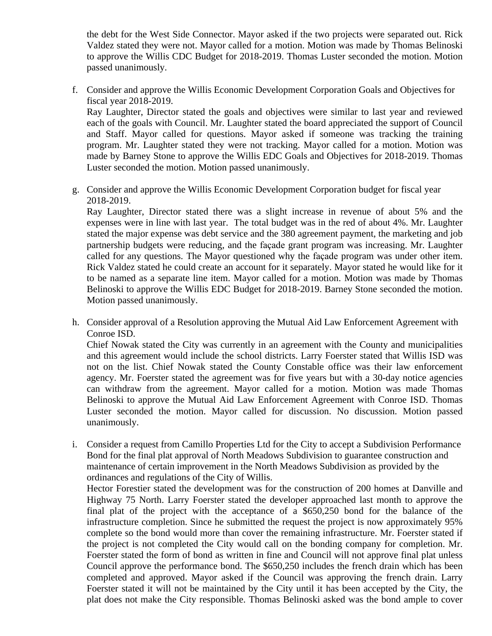the debt for the West Side Connector. Mayor asked if the two projects were separated out. Rick Valdez stated they were not. Mayor called for a motion. Motion was made by Thomas Belinoski to approve the Willis CDC Budget for 2018-2019. Thomas Luster seconded the motion. Motion passed unanimously.

f. Consider and approve the Willis Economic Development Corporation Goals and Objectives for fiscal year 2018-2019.

Ray Laughter, Director stated the goals and objectives were similar to last year and reviewed each of the goals with Council. Mr. Laughter stated the board appreciated the support of Council and Staff. Mayor called for questions. Mayor asked if someone was tracking the training program. Mr. Laughter stated they were not tracking. Mayor called for a motion. Motion was made by Barney Stone to approve the Willis EDC Goals and Objectives for 2018-2019. Thomas Luster seconded the motion. Motion passed unanimously.

g. Consider and approve the Willis Economic Development Corporation budget for fiscal year 2018-2019.

Ray Laughter, Director stated there was a slight increase in revenue of about 5% and the expenses were in line with last year. The total budget was in the red of about 4%. Mr. Laughter stated the major expense was debt service and the 380 agreement payment, the marketing and job partnership budgets were reducing, and the façade grant program was increasing. Mr. Laughter called for any questions. The Mayor questioned why the façade program was under other item. Rick Valdez stated he could create an account for it separately. Mayor stated he would like for it to be named as a separate line item. Mayor called for a motion. Motion was made by Thomas Belinoski to approve the Willis EDC Budget for 2018-2019. Barney Stone seconded the motion. Motion passed unanimously.

h. Consider approval of a Resolution approving the Mutual Aid Law Enforcement Agreement with Conroe ISD.

Chief Nowak stated the City was currently in an agreement with the County and municipalities and this agreement would include the school districts. Larry Foerster stated that Willis ISD was not on the list. Chief Nowak stated the County Constable office was their law enforcement agency. Mr. Foerster stated the agreement was for five years but with a 30-day notice agencies can withdraw from the agreement. Mayor called for a motion. Motion was made Thomas Belinoski to approve the Mutual Aid Law Enforcement Agreement with Conroe ISD. Thomas Luster seconded the motion. Mayor called for discussion. No discussion. Motion passed unanimously.

i. Consider a request from Camillo Properties Ltd for the City to accept a Subdivision Performance Bond for the final plat approval of North Meadows Subdivision to guarantee construction and maintenance of certain improvement in the North Meadows Subdivision as provided by the ordinances and regulations of the City of Willis.

Hector Forestier stated the development was for the construction of 200 homes at Danville and Highway 75 North. Larry Foerster stated the developer approached last month to approve the final plat of the project with the acceptance of a \$650,250 bond for the balance of the infrastructure completion. Since he submitted the request the project is now approximately 95% complete so the bond would more than cover the remaining infrastructure. Mr. Foerster stated if the project is not completed the City would call on the bonding company for completion. Mr. Foerster stated the form of bond as written in fine and Council will not approve final plat unless Council approve the performance bond. The \$650,250 includes the french drain which has been completed and approved. Mayor asked if the Council was approving the french drain. Larry Foerster stated it will not be maintained by the City until it has been accepted by the City, the plat does not make the City responsible. Thomas Belinoski asked was the bond ample to cover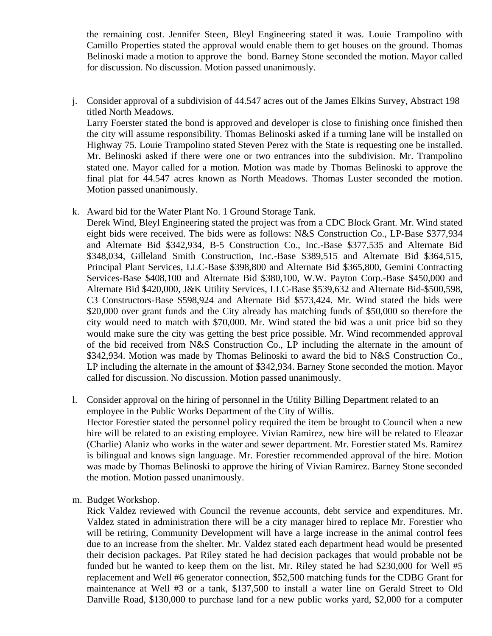the remaining cost. Jennifer Steen, Bleyl Engineering stated it was. Louie Trampolino with Camillo Properties stated the approval would enable them to get houses on the ground. Thomas Belinoski made a motion to approve the bond. Barney Stone seconded the motion. Mayor called for discussion. No discussion. Motion passed unanimously.

j. Consider approval of a subdivision of 44.547 acres out of the James Elkins Survey, Abstract 198 titled North Meadows.

Larry Foerster stated the bond is approved and developer is close to finishing once finished then the city will assume responsibility. Thomas Belinoski asked if a turning lane will be installed on Highway 75. Louie Trampolino stated Steven Perez with the State is requesting one be installed. Mr. Belinoski asked if there were one or two entrances into the subdivision. Mr. Trampolino stated one. Mayor called for a motion. Motion was made by Thomas Belinoski to approve the final plat for 44.547 acres known as North Meadows. Thomas Luster seconded the motion. Motion passed unanimously.

k. Award bid for the Water Plant No. 1 Ground Storage Tank.

Derek Wind, Bleyl Engineering stated the project was from a CDC Block Grant. Mr. Wind stated eight bids were received. The bids were as follows: N&S Construction Co., LP-Base \$377,934 and Alternate Bid \$342,934, B-5 Construction Co., Inc.-Base \$377,535 and Alternate Bid \$348,034, Gilleland Smith Construction, Inc.-Base \$389,515 and Alternate Bid \$364,515, Principal Plant Services, LLC-Base \$398,800 and Alternate Bid \$365,800, Gemini Contracting Services-Base \$408,100 and Alternate Bid \$380,100, W.W. Payton Corp.-Base \$450,000 and Alternate Bid \$420,000, J&K Utility Services, LLC-Base \$539,632 and Alternate Bid-\$500,598, C3 Constructors-Base \$598,924 and Alternate Bid \$573,424. Mr. Wind stated the bids were \$20,000 over grant funds and the City already has matching funds of \$50,000 so therefore the city would need to match with \$70,000. Mr. Wind stated the bid was a unit price bid so they would make sure the city was getting the best price possible. Mr. Wind recommended approval of the bid received from N&S Construction Co., LP including the alternate in the amount of \$342,934. Motion was made by Thomas Belinoski to award the bid to N&S Construction Co., LP including the alternate in the amount of \$342,934. Barney Stone seconded the motion. Mayor called for discussion. No discussion. Motion passed unanimously.

- l. Consider approval on the hiring of personnel in the Utility Billing Department related to an employee in the Public Works Department of the City of Willis. Hector Forestier stated the personnel policy required the item be brought to Council when a new hire will be related to an existing employee. Vivian Ramirez, new hire will be related to Eleazar (Charlie) Alaniz who works in the water and sewer department. Mr. Forestier stated Ms. Ramirez is bilingual and knows sign language. Mr. Forestier recommended approval of the hire. Motion was made by Thomas Belinoski to approve the hiring of Vivian Ramirez. Barney Stone seconded the motion. Motion passed unanimously.
- m. Budget Workshop.

Rick Valdez reviewed with Council the revenue accounts, debt service and expenditures. Mr. Valdez stated in administration there will be a city manager hired to replace Mr. Forestier who will be retiring, Community Development will have a large increase in the animal control fees due to an increase from the shelter. Mr. Valdez stated each department head would be presented their decision packages. Pat Riley stated he had decision packages that would probable not be funded but he wanted to keep them on the list. Mr. Riley stated he had \$230,000 for Well #5 replacement and Well #6 generator connection, \$52,500 matching funds for the CDBG Grant for maintenance at Well #3 or a tank, \$137,500 to install a water line on Gerald Street to Old Danville Road, \$130,000 to purchase land for a new public works yard, \$2,000 for a computer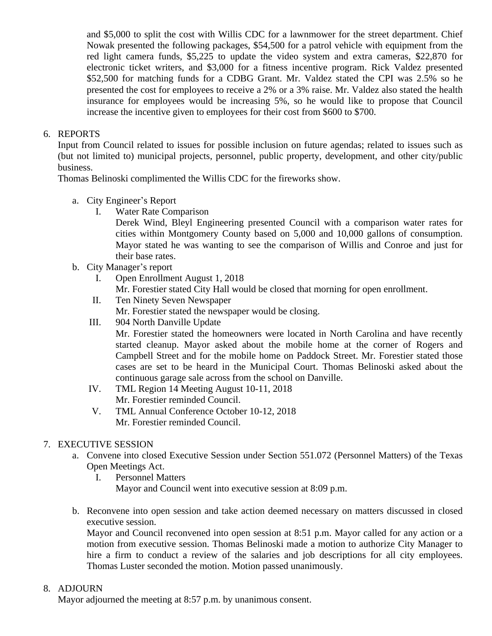and \$5,000 to split the cost with Willis CDC for a lawnmower for the street department. Chief Nowak presented the following packages, \$54,500 for a patrol vehicle with equipment from the red light camera funds, \$5,225 to update the video system and extra cameras, \$22,870 for electronic ticket writers, and \$3,000 for a fitness incentive program. Rick Valdez presented \$52,500 for matching funds for a CDBG Grant. Mr. Valdez stated the CPI was 2.5% so he presented the cost for employees to receive a 2% or a 3% raise. Mr. Valdez also stated the health insurance for employees would be increasing 5%, so he would like to propose that Council increase the incentive given to employees for their cost from \$600 to \$700.

## 6. REPORTS

Input from Council related to issues for possible inclusion on future agendas; related to issues such as (but not limited to) municipal projects, personnel, public property, development, and other city/public business.

Thomas Belinoski complimented the Willis CDC for the fireworks show.

- a. City Engineer's Report
	- I. Water Rate Comparison

Derek Wind, Bleyl Engineering presented Council with a comparison water rates for cities within Montgomery County based on 5,000 and 10,000 gallons of consumption. Mayor stated he was wanting to see the comparison of Willis and Conroe and just for their base rates.

- b. City Manager's report
	- I. Open Enrollment August 1, 2018

Mr. Forestier stated City Hall would be closed that morning for open enrollment.

- II. Ten Ninety Seven Newspaper Mr. Forestier stated the newspaper would be closing.
- III. 904 North Danville Update

Mr. Forestier stated the homeowners were located in North Carolina and have recently started cleanup. Mayor asked about the mobile home at the corner of Rogers and Campbell Street and for the mobile home on Paddock Street. Mr. Forestier stated those cases are set to be heard in the Municipal Court. Thomas Belinoski asked about the continuous garage sale across from the school on Danville.

- IV. TML Region 14 Meeting August 10-11, 2018 Mr. Forestier reminded Council.
- V. TML Annual Conference October 10-12, 2018 Mr. Forestier reminded Council.

# 7. EXECUTIVE SESSION

- a. Convene into closed Executive Session under Section 551.072 (Personnel Matters) of the Texas Open Meetings Act.
	- I. Personnel Matters Mayor and Council went into executive session at 8:09 p.m.
- b. Reconvene into open session and take action deemed necessary on matters discussed in closed executive session.

Mayor and Council reconvened into open session at 8:51 p.m. Mayor called for any action or a motion from executive session. Thomas Belinoski made a motion to authorize City Manager to hire a firm to conduct a review of the salaries and job descriptions for all city employees. Thomas Luster seconded the motion. Motion passed unanimously.

## 8. ADJOURN

Mayor adjourned the meeting at 8:57 p.m. by unanimous consent.